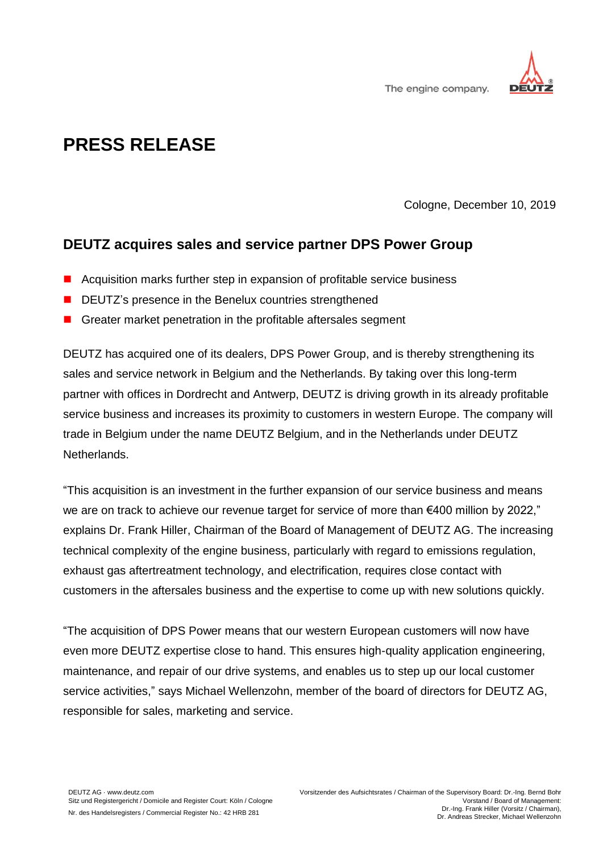

The engine company.

## **PRESS RELEASE**

Cologne, December 10, 2019

## **DEUTZ acquires sales and service partner DPS Power Group**

- Acquisition marks further step in expansion of profitable service business
- DEUTZ's presence in the Benelux countries strengthened
- Greater market penetration in the profitable aftersales segment

DEUTZ has acquired one of its dealers, DPS Power Group, and is thereby strengthening its sales and service network in Belgium and the Netherlands. By taking over this long-term partner with offices in Dordrecht and Antwerp, DEUTZ is driving growth in its already profitable service business and increases its proximity to customers in western Europe. The company will trade in Belgium under the name DEUTZ Belgium, and in the Netherlands under DEUTZ Netherlands.

"This acquisition is an investment in the further expansion of our service business and means we are on track to achieve our revenue target for service of more than €400 million by 2022," explains Dr. Frank Hiller, Chairman of the Board of Management of DEUTZ AG. The increasing technical complexity of the engine business, particularly with regard to emissions regulation, exhaust gas aftertreatment technology, and electrification, requires close contact with customers in the aftersales business and the expertise to come up with new solutions quickly.

"The acquisition of DPS Power means that our western European customers will now have even more DEUTZ expertise close to hand. This ensures high-quality application engineering, maintenance, and repair of our drive systems, and enables us to step up our local customer service activities," says Michael Wellenzohn, member of the board of directors for DEUTZ AG, responsible for sales, marketing and service.